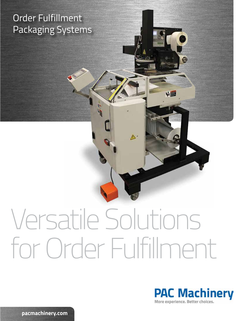# Order Fulfillment Packaging Systems

# Versatile Solutions for Order Fulfillment

 $\mathbb{A}$ 



**pacmachinery.com**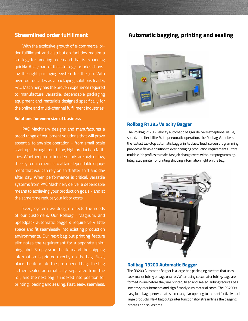# **Streamlined order fulfillment**

With the explosive growth of e-commerce, order fulfillment and distribution facilities require a strategy for meeting a demand that is expanding quickly. A key part of this strategy includes choosing the right packaging system for the job. With over four decades as a packaging solutions leader, PAC Machinery has the proven experience required to manufacture versatile, dependable packaging equipment and materials designed specifically for the online and multi-channel fulfillment industries.

#### **Solutions for every size of business**

PAC Machinery designs and manufactures a broad range of equipment solutions that will prove essential to any size operation – from small-scale start-ups through multi-line, high production facilities. Whether production demands are high or low, the key requirement is to attain dependable equipment that you can rely on shift after shift and day after day. When performance is critical, versatile systems from PAC Machinery deliver a dependable means to achieving your production goals - and at the same time reduce your labor costs.

 Every system we design reflects the needs of our customers. Our Rollbag , Magnum, and Speedpack automatic baggers require very little space and fit seamlessly into existing production environments. Our next bag out printing feature eliminates the requirement for a separate shipping label. Simply scan the item and the shipping information is printed directly on the bag. Next, place the item into the pre-opened bag. The bag is then sealed automatically, separated from the roll, and the next bag is indexed into position for printing, loading and sealing. Fast, easy, seamless.

# **Automatic bagging, printing and sealing**



#### **Rollbag R1285 Velocity Bagger**

The Rollbag R1285 Velocity automatic bagger delivers exceptional value, speed, and flexibility. With pneumatic operation, the Rollbag Velocity is the fastest tabletop automatic bagger in its class. Touchscreen programming provides a flexible solution to ever-changing production requirements. Store multiple job profiles to make fast job changeovers without reprogramming. Integrated printer for printing shipping information right on the bag.



### **Rollbag R3200 Automatic Bagger**

The R3200 Automatic Bagger is a large bag packaging system that uses coex mailer tubing or bags on a roll. When using coex mailer tubing, bags are formed in-line before they are printed, filled and sealed. Tubing reduces bag inventory requirements and significantly cuts material costs. The R3200's easy load bag opener creates a rectangular opening to more effectively pack large products. Next bag out printer functionality streamlines the bagging process and saves time.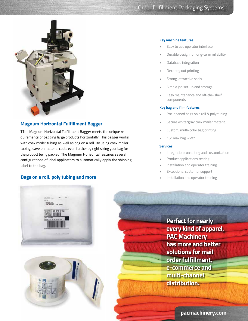

# **Magnum Horizontal Fulfillment Bagger**

TThe Magnum Horizontal Fulfillment Bagger meets the unique requirements of bagging large products horizontally. This bagger works with coex mailer tubing as well as bag on a roll. By using coex mailer tubing, save on material costs even further by right sizing your bag for the product being packed. The Magnum Horizontal features several configurations of label applicators to automatically apply the shipping label to the bag.

## **Bags on a roll, poly tubing and more**

#### **Key machine features:**

- Easy to use operator interface
- Durable design for long-term reliability
- Database integration
- Next bag out printing
- Strong, attractive seals
- Simple job set-up and storage
- Easy maintenance and off-the-shelf components

#### **Key bag and film features:**

- Pre-opened bags on a roll & poly tubing
- Secure white/gray coex mailer material
- Custom, multi-color bag printing
- 15" max bag width

#### **Services:**

- Integration consulting and customization
- Product applications testing
- Installation and operator training
- Exceptional customer support
- Installation and operator training





**Perfect for nearly every kind of apparel, PAC Machinery has more and better solutions for mail order fulfillment, e-commerce and multi-channel distribution.**

**pacmachinery.com**